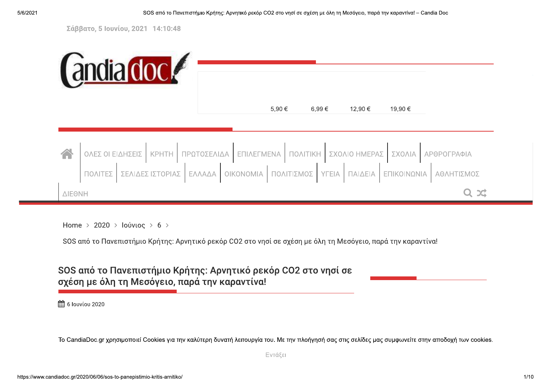Σάββατο, 5 Ιουνίου, 2021 14:10:48

|           | <b>andia dock</b>                                               |                                                                |                   |                          |                                                    |
|-----------|-----------------------------------------------------------------|----------------------------------------------------------------|-------------------|--------------------------|----------------------------------------------------|
|           |                                                                 | 5,90 €                                                         | 6,99€             | 12,90 €                  | 19,90 €                                            |
| $\bigcap$ | <b>KPHTH</b><br>ΟΛΕΣ ΟΙ ΕΙΔΗΣΕΙΣ<br>ΠΟΛΙΤΕΣ<br>ΣΕΛΙΔΕΣ ΙΣΤΟΡΙΑΣ | ΠΡΩΤΟΣΕΛΙΔΑ<br>ΕΠΙΛΕΓΜΕΝΑ<br>ΠΟΛΙΤΙΣΜΟΣ<br>OIKONOMIA<br>ΕΛΛΑΔΑ | ΠΟΛΙΤΙΚΗ<br>YFEIA | ΣΧΟΛΙΟ ΗΜΕΡΑΣ<br>ΠΑΙΔΕΙΑ | ΣΧΟΛΙΑ<br>ΑΡΘΡΟΓΡΑΦΙΑ<br>ΕΠΙΚΟΙΝΩΝΙΑ<br>ΑΘΛΗΤΙΣΜΟΣ |
| ΔΙΕΘΝΗ    |                                                                 |                                                                |                   |                          | Q X                                                |

Home > 2020 > Ιούνιος > 6 >

SOS από το Πανεπιστήμιο Κρήτης: Αρνητικό ρεκόρ CO2 στο νησί σε σχέση με όλη τη Μεσόγειο, παρά την καραντίνα!

## SOS από το Πανεπιστήμιο Κρήτης: Αρνητικό ρεκόρ CO2 στο νησί σε σχέση με όλη τη Μεσόγειο, παρά την καραντίνα!

**曲 6 louviou 2020** 

Το CandiaDoc.gr χρησιμοποιεί Cookies για την καλύτερη δυνατή λειτουργία του. Με την πλοήγησή σας στις σελίδες μας συμφωνείτε στην αποδοχή των cookies.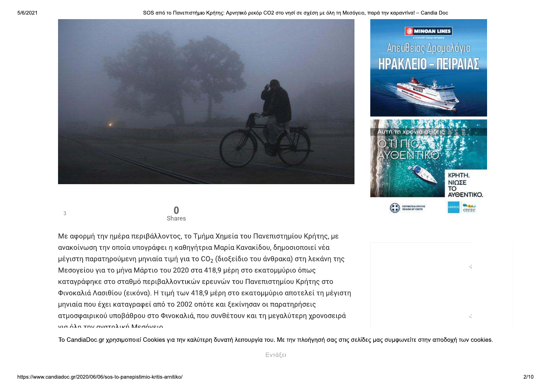



Με αφορμή την ημέρα περιβάλλοντος, το Τμήμα Χημεία του Πανεπιστημίου Κρήτης, με ανακοίνωση την οποία υπογράφει η καθηγήτρια Μαρία Κανακίδου, δημοσιοποιεί νέα μέγιστη παρατηρούμενη μηνιαία τιμή για το CO<sub>2</sub> (διοξείδιο του άνθρακα) στη λεκάνη της Μεσογείου για το μήνα Μάρτιο του 2020 στα 418,9 μέρη στο εκατομμύριο όπως καταγράφηκε στο σταθμό περιβαλλοντικών ερευνών του Πανεπιστημίου Κρήτης στο Φινοκαλιά Λασιθίου (εικόνα). Η τιμή των 418,9 μέρη στο εκατομμύριο αποτελεί τη μέγιστη μηνιαία που έχει καταγραφεί από το 2002 οπότε και ξεκίνησαν οι παρατηρήσεις ατμοσφαιρικού υποβάθρου στο Φινοκαλιά, που συνθέτουν και τη μεγαλύτερη χρονοσειρά νια όλη την ανατολική Μεσόνειο

Το CandiaDoc.gr χρησιμοποιεί Cookies για την καλύτερη δυνατή λειτουργία του. Με την πλοήγησή σας στις σελίδες μας συμφωνείτε στην αποδοχή των cookies.



**G MINOAN LINES** 

Απευθείας Δρομολόγια



 $\overline{3}$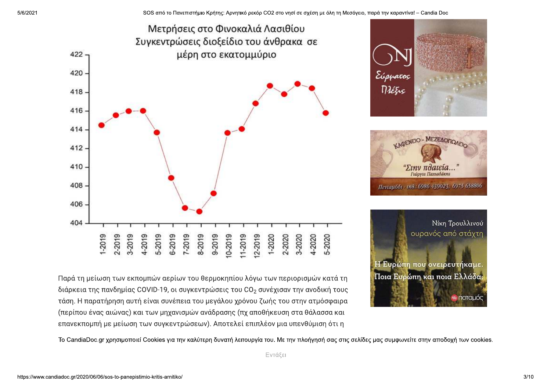

Παρά τη μείωση των εκπομπών αερίων του θερμοκηπίου λόγω των περιορισμών κατά τη διάρκεια της πανδημίας COVID-19, οι συγκεντρώσεις του CO<sub>2</sub> συνέχισαν την ανοδική τους τάση. Η παρατήρηση αυτή είναι συνέπεια του μεγάλου χρόνου ζωής του στην ατμόσφαιρα (περίπου ένας αιώνας) και των μηχανισμών ανάδρασης (πχ αποθήκευση στα θάλασσα και επανεκπομπή με μείωση των συγκεντρώσεων). Αποτελεί επιπλέον μια υπενθύμιση ότι η

Το CandiaDoc.gr χρησιμοποιεί Cookies για την καλύτερη δυνατή λειτουργία του. Με την πλοήγησή σας στις σελίδες μας συμφωνείτε στην αποδοχή των cookies.

Εντάξει

Ποια Ευρώπη και ποια Ελλάδα;

**⊗ ⊓orauó**